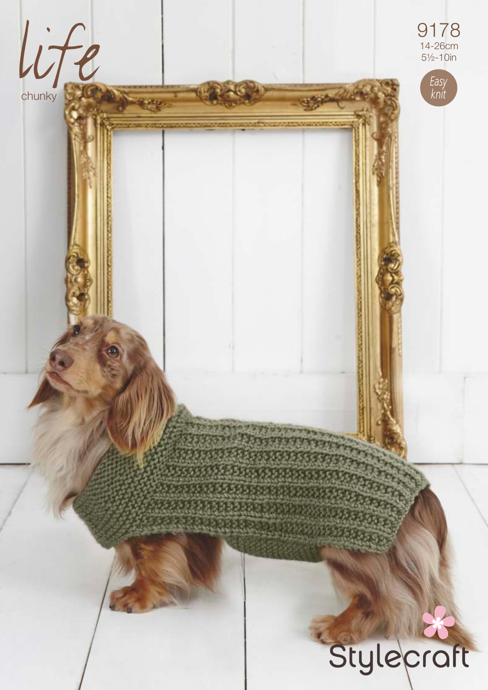